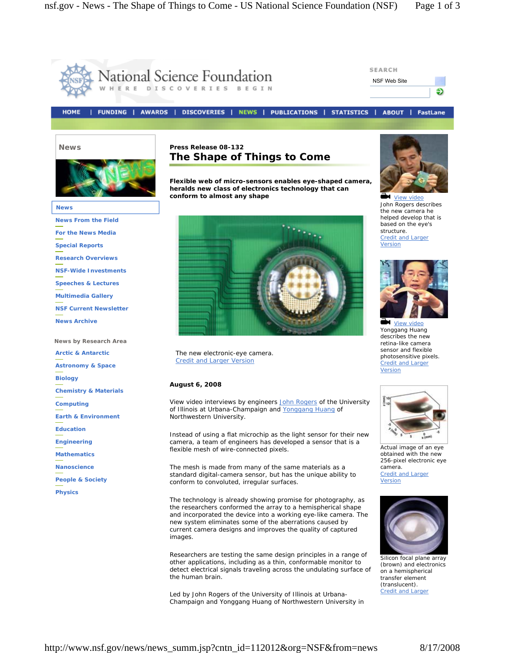

http://www.nsf.gov/news/news\_summ.jsp?cntn\_id=112012&org=NSF&from=news 8/17/2008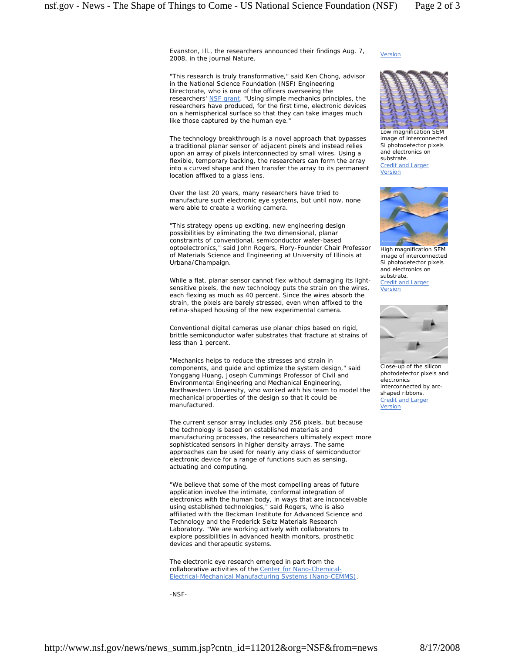Evanston, Ill., the researchers announced their findings Aug. 7, 2008, in the journal *Nature*.

"This research is truly transformative," said Ken Chong, advisor in the National Science Foundation (NSF) Engineering Directorate, who is one of the officers overseeing the researchers' NSF grant. "Using simple mechanics principles, the researchers have produced, for the first time, electronic devices on a hemispherical surface so that they can take images much like those captured by the human eye.

The technology breakthrough is a novel approach that bypasses a traditional planar sensor of adjacent pixels and instead relies upon an array of pixels interconnected by small wires. Using a flexible, temporary backing, the researchers can form the array into a curved shape and then transfer the array to its permanent location affixed to a glass lens.

Over the last 20 years, many researchers have tried to manufacture such electronic eye systems, but until now, none were able to create a working camera.

"This strategy opens up exciting, new engineering design possibilities by eliminating the two dimensional, planar constraints of conventional, semiconductor wafer-based optoelectronics," said John Rogers, Flory-Founder Chair Professor of Materials Science and Engineering at University of Illinois at Urbana/Champaign.

While a flat, planar sensor cannot flex without damaging its lightsensitive pixels, the new technology puts the strain on the wires, each flexing as much as 40 percent. Since the wires absorb the strain, the pixels are barely stressed, even when affixed to the retina-shaped housing of the new experimental camera.

Conventional digital cameras use planar chips based on rigid, brittle semiconductor wafer substrates that fracture at strains of less than 1 percent.

"Mechanics helps to reduce the stresses and strain in components, and guide and optimize the system design," said Yonggang Huang, Joseph Cummings Professor of Civil and Environmental Engineering and Mechanical Engineering, Northwestern University, who worked with his team to model the mechanical properties of the design so that it could be manufactured.

The current sensor array includes only 256 pixels, but because the technology is based on established materials and manufacturing processes, the researchers ultimately expect more sophisticated sensors in higher density arrays. The same approaches can be used for nearly any class of semiconductor electronic device for a range of functions such as sensing, actuating and computing.

"We believe that some of the most compelling areas of future application involve the intimate, conformal integration of electronics with the human body, in ways that are inconceivable using established technologies," said Rogers, who is also affiliated with the Beckman Institute for Advanced Science and Technology and the Frederick Seitz Materials Research Laboratory. "We are working actively with collaborators to explore possibilities in advanced health monitors, prosthetic devices and therapeutic systems.

The electronic eye research emerged in part from the collaborative activities of the Center for Nano-Chemical-Electrical-Mechanical Manufacturing Systems (Nano-CEMMS).

-NSF-

**Version** 



Low magnification SEM image of interconnected Si photodetector pixels and electronics on substrate. Credit and Larger **Version** 



High magnification SEM image of interconnected Si photodetector pixels and electronics on substrate. Credit and Larger **Version** 



Close-up of the silicon photodetector pixels and electronics interconnected by arcshaped ribbons. Credit and Larger Version